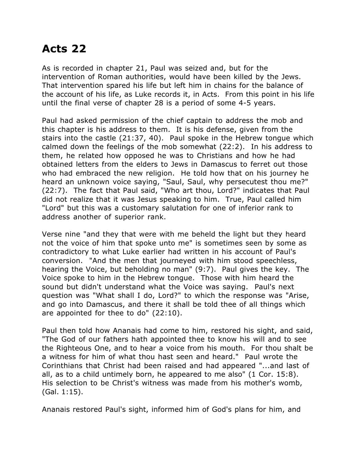## **Acts 22**

As is recorded in chapter 21, Paul was seized and, but for the intervention of Roman authorities, would have been killed by the Jews. That intervention spared his life but left him in chains for the balance of the account of his life, as Luke records it, in Acts. From this point in his life until the final verse of chapter 28 is a period of some 4-5 years.

Paul had asked permission of the chief captain to address the mob and this chapter is his address to them. It is his defense, given from the stairs into the castle (21:37, 40). Paul spoke in the Hebrew tongue which calmed down the feelings of the mob somewhat (22:2). In his address to them, he related how opposed he was to Christians and how he had obtained letters from the elders to Jews in Damascus to ferret out those who had embraced the new religion. He told how that on his journey he heard an unknown voice saying, "Saul, Saul, why persecutest thou me?" (22:7). The fact that Paul said, "Who art thou, Lord?" indicates that Paul did not realize that it was Jesus speaking to him. True, Paul called him "Lord" but this was a customary salutation for one of inferior rank to address another of superior rank.

Verse nine "and they that were with me beheld the light but they heard not the voice of him that spoke unto me" is sometimes seen by some as contradictory to what Luke earlier had written in his account of Paul's conversion. "And the men that journeyed with him stood speechless, hearing the Voice, but beholding no man" (9:7). Paul gives the key. The Voice spoke to him in the Hebrew tongue. Those with him heard the sound but didn't understand what the Voice was saying. Paul's next question was "What shall I do, Lord?" to which the response was "Arise, and go into Damascus, and there it shall be told thee of all things which are appointed for thee to do" (22:10).

Paul then told how Ananais had come to him, restored his sight, and said, "The God of our fathers hath appointed thee to know his will and to see the Righteous One, and to hear a voice from his mouth. For thou shalt be a witness for him of what thou hast seen and heard." Paul wrote the Corinthians that Christ had been raised and had appeared "...and last of all, as to a child untimely born, he appeared to me also" (1 Cor. 15:8). His selection to be Christ's witness was made from his mother's womb, (Gal. 1:15).

Ananais restored Paul's sight, informed him of God's plans for him, and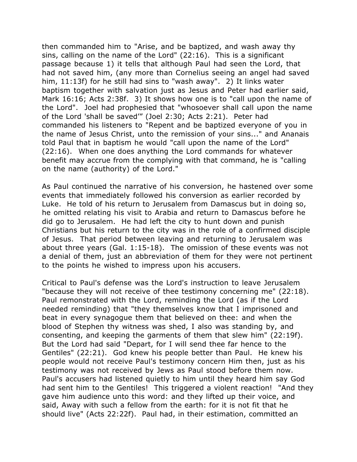then commanded him to "Arise, and be baptized, and wash away thy sins, calling on the name of the Lord" (22:16). This is a significant passage because 1) it tells that although Paul had seen the Lord, that had not saved him, (any more than Cornelius seeing an angel had saved him, 11:13f) for he still had sins to "wash away". 2) It links water baptism together with salvation just as Jesus and Peter had earlier said, Mark 16:16; Acts 2:38f. 3) It shows how one is to "call upon the name of the Lord". Joel had prophesied that "whosoever shall call upon the name of the Lord 'shall be saved'" (Joel 2:30; Acts 2:21). Peter had commanded his listeners to "Repent and be baptized everyone of you in the name of Jesus Christ, unto the remission of your sins..." and Ananais told Paul that in baptism he would "call upon the name of the Lord" (22:16). When one does anything the Lord commands for whatever benefit may accrue from the complying with that command, he is "calling on the name (authority) of the Lord."

As Paul continued the narrative of his conversion, he hastened over some events that immediately followed his conversion as earlier recorded by Luke. He told of his return to Jerusalem from Damascus but in doing so, he omitted relating his visit to Arabia and return to Damascus before he did go to Jerusalem. He had left the city to hunt down and punish Christians but his return to the city was in the role of a confirmed disciple of Jesus. That period between leaving and returning to Jerusalem was about three years (Gal. 1:15-18). The omission of these events was not a denial of them, just an abbreviation of them for they were not pertinent to the points he wished to impress upon his accusers.

Critical to Paul's defense was the Lord's instruction to leave Jerusalem "because they will not receive of thee testimony concerning me" (22:18). Paul remonstrated with the Lord, reminding the Lord (as if the Lord needed reminding) that "they themselves know that I imprisoned and beat in every synagogue them that believed on thee: and when the blood of Stephen thy witness was shed, I also was standing by, and consenting, and keeping the garments of them that slew him" (22:19f). But the Lord had said "Depart, for I will send thee far hence to the Gentiles" (22:21). God knew his people better than Paul. He knew his people would not receive Paul's testimony concern Him then, just as his testimony was not received by Jews as Paul stood before them now. Paul's accusers had listened quietly to him until they heard him say God had sent him to the Gentiles! This triggered a violent reaction! "And they gave him audience unto this word: and they lifted up their voice, and said, Away with such a fellow from the earth: for it is not fit that he should live" (Acts 22:22f). Paul had, in their estimation, committed an